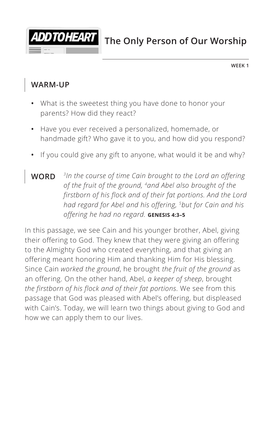

**The Only Person of Our Worship** 

**WEEK 1**

#### **WARM-UP**

- **•** What is the sweetest thing you have done to honor your parents? How did they react?
- **•** Have you ever received a personalized, homemade, or handmade gift? Who gave it to you, and how did you respond?
- **•** If you could give any gift to anyone, what would it be and why?
- **WORD** *3In the course of time Cain brought to the Lord an offering of the fruit of the ground, 4and Abel also brought of the firstborn of his flock and of their fat portions. And the Lord had regard for Abel and his offering, 5but for Cain and his offering he had no regard. ^***GENESIS 4:3–5**

In this passage, we see Cain and his younger brother, Abel, giving their offering to God. They knew that they were giving an offering to the Almighty God who created everything, and that giving an offering meant honoring Him and thanking Him for His blessing. Since Cain *worked the ground*, he brought *the fruit of the ground* as an offering. On the other hand, Abel, *a keeper of sheep*, brought *the firstborn of his flock and of their fat portions*. We see from this passage that God was pleased with Abel's offering, but displeased with Cain's. Today, we will learn two things about giving to God and how we can apply them to our lives.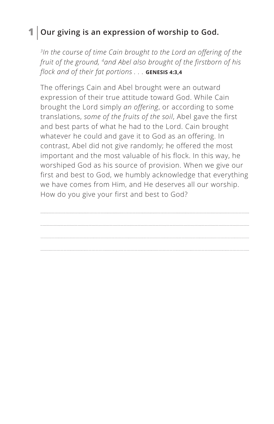## **1 Our giving is an expression of worship to God.**

*3In the course of time Cain brought to the Lord an offering of the fruit of the ground, 4and Abel also brought of the firstborn of his flock and of their fat portions . . . ^***GENESIS 4:3,4**

The offerings Cain and Abel brought were an outward expression of their true attitude toward God. While Cain brought the Lord simply *an offering*, or according to some translations, *some of the fruits of the soil*, Abel gave the first and best parts of what he had to the Lord. Cain brought whatever he could and gave it to God as an offering. In contrast, Abel did not give randomly; he offered the most important and the most valuable of his flock. In this way, he worshiped God as his source of provision. When we give our first and best to God, we humbly acknowledge that everything we have comes from Him, and He deserves all our worship. How do you give your first and best to God?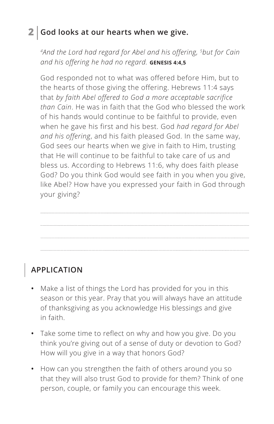## **2 God looks at our hearts when we give.**

*4And the Lord had regard for Abel and his offering, 5but for Cain and his offering he had no regard. ^***GENESIS 4:4,5**

God responded not to what was offered before Him, but to the hearts of those giving the offering. Hebrews 11:4 says that *by faith Abel offered to God a more acceptable sacrifice than Cain*. He was in faith that the God who blessed the work of his hands would continue to be faithful to provide, even when he gave his first and his best. God *had regard for Abel and his offering*, and his faith pleased God. In the same way, God sees our hearts when we give in faith to Him, trusting that He will continue to be faithful to take care of us and bless us. According to Hebrews 11:6, why does faith please God? Do you think God would see faith in you when you give, like Abel? How have you expressed your faith in God through your giving?

# **APPLICATION**

- **•** Make a list of things the Lord has provided for you in this season or this year. Pray that you will always have an attitude of thanksgiving as you acknowledge His blessings and give in faith.
- **•** Take some time to reflect on why and how you give. Do you think you're giving out of a sense of duty or devotion to God? How will you give in a way that honors God?
- **•** How can you strengthen the faith of others around you so that they will also trust God to provide for them? Think of one person, couple, or family you can encourage this week.